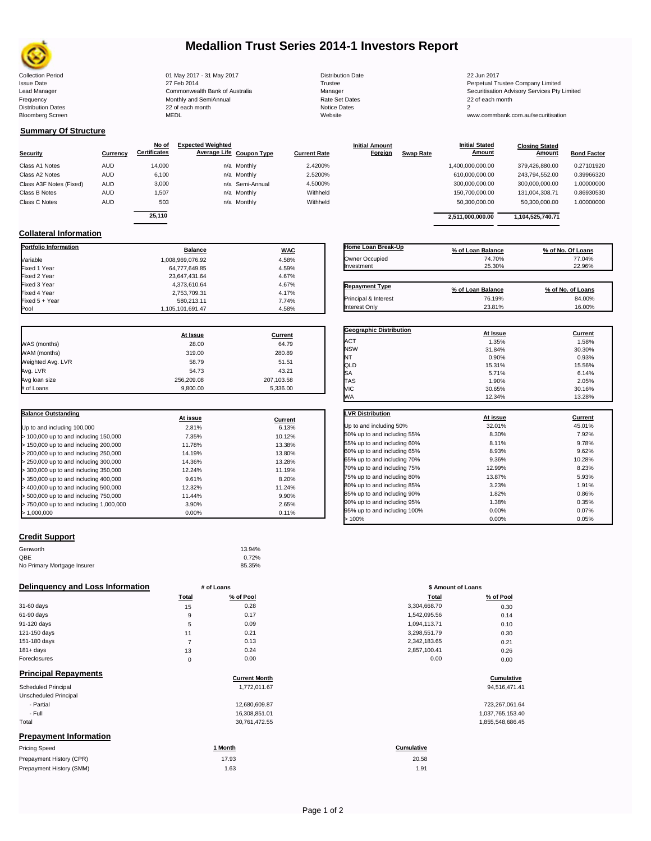

# **Medallion Trust Series 2014-1 Investors Report**

Collection Period 01 May 2017 - 31 May 2017 Distribution Date 22 Jun 2017 Issue Date 2014 27 Feb 2014 27 Feb 2014<br>In the 2011 Commonwealth Bank of Australia 2008 Manager 2008 2014 2014 2014 2015 Securitisation Advisory Services Pty Frequency 22 of each month Monthly and SemiAnnual Rate Set Dates 22 of each month 22 of each month 22 of each month<br>Distribution Dates 22 of each month 22 of each month 20 of each month and the Set Dates 20 month 2 Bloomberg Screen MEDL Website www.commbank.com.au/securitisation

Lead Manager **Commonwealth Bank of Australia** Manager Manager Securitisation Advisory Services Pty Limited

**Closing Stated Amount**

 $\mathsf{l}$ 

## **Summary Of Structure**

**Collateral Information**

|                         |            | No of               | <b>Expected Weighted</b> |              | <b>Initial Amount</b> |                  | <b>Initial Stated</b> | <b>Closing Stated</b> |                    |
|-------------------------|------------|---------------------|--------------------------|--------------|-----------------------|------------------|-----------------------|-----------------------|--------------------|
| Security                | Currency   | <b>Certificates</b> | Average Life Coupon Type | Current Rate | Foreign               | <b>Swap Rate</b> | <b>Amount</b>         | Amount                | <b>Bond Factor</b> |
| Class A1 Notes          | <b>AUD</b> | 14.000              | n/a Monthly              | 2.4200%      |                       |                  | 1,400,000,000.00      | 379.426.880.00        | 0.27101920         |
| Class A2 Notes          | <b>AUD</b> | 6,100               | n/a Monthly              | 2.5200%      |                       |                  | 610,000,000.00        | 243.794.552.00        | 0.39966320         |
| Class A3F Notes (Fixed) | AUD        | 3,000               | n/a Semi-Annual          | 4.5000%      |                       |                  | 300,000,000.00        | 300,000,000.00        | 1.00000000         |
| Class B Notes           | AUD        | 1.507               | n/a Monthly              | Withheld     |                       |                  | 150,700,000.00        | 131.004.308.71        | 0.86930530         |
| Class C Notes           | AUD        | 503                 | n/a Monthly              | Withheld     |                       |                  | 50,300,000.00         | 50,300,000.00         | 1.00000000         |
|                         |            | 25.110              |                          |              |                       |                  |                       |                       |                    |
|                         |            |                     |                          |              |                       |                  | 2.511.000.000.00      | 1.104.525.740.71      |                    |

**Portfolio Information Balance WAC** Variable 1,008,969,076.92 4.58% Fixed 1 Year 64,777,649.85 4.59% Fixed 2 Year 23,647,431.64 4.67% Fixed 3 Year 4,373,610.64 4.67% Fixed 4 Year 2,753,709.31 4.17% Fixed 5 + Year 7.74% 580,213.11 580,213.11 7.74% 580,213.11 7.74%

| Home Loan Break-Up<br>Owner Occupied<br>Investment | % of Loan Balance<br>74.70%<br>25.30% | % of No. Of Loans<br>77.04%<br>22.96% |
|----------------------------------------------------|---------------------------------------|---------------------------------------|
| <b>Repayment Type</b>                              | % of Loan Balance                     | % of No. of Loans                     |
| <b>Principal &amp; Interest</b>                    | 76.19%                                | 84.00%                                |

**Initial Stated** 

|                   | At Issue   | <b>Current</b> |
|-------------------|------------|----------------|
| WAS (months)      | 28.00      | 64.79          |
| WAM (months)      | 319.00     | 280.89         |
| Weighted Avg. LVR | 58.79      | 51.51          |
| Avg. LVR          | 54.73      | 43.21          |
| Avg loan size     | 256,209.08 | 207,103.58     |
| # of Loans        | 9.800.00   | 5.336.00       |

1,105,101,691.47

| <b>Balance Outstanding</b>              |          |         |
|-----------------------------------------|----------|---------|
|                                         | At issue | Current |
| Up to and including 100,000             | 2.81%    | 6.13%   |
| $>$ 100,000 up to and including 150,000 | 7.35%    | 10.12%  |
| $>$ 150,000 up to and including 200,000 | 11.78%   | 13.38%  |
| > 200,000 up to and including 250,000   | 14.19%   | 13.80%  |
| > 250,000 up to and including 300,000   | 14.36%   | 13.28%  |
| > 300,000 up to and including 350,000   | 12.24%   | 11.19%  |
| > 350,000 up to and including 400,000   | 9.61%    | 8.20%   |
| > 400,000 up to and including 500,000   | 12.32%   | 11.24%  |
| > 500,000 up to and including 750,000   | 11.44%   | 9.90%   |
| > 750,000 up to and including 1,000,000 | 3.90%    | 2.65%   |
| > 1.000.000                             | 0.00%    | 0.11%   |

| NT                          | 0.90%    | 0.93%   |
|-----------------------------|----------|---------|
| QLD                         | 15.31%   | 15.56%  |
| SA                          | 5.71%    | 6.14%   |
| <b>TAS</b>                  | 1.90%    | 2.05%   |
| VIC                         | 30.65%   | 30.16%  |
| WА                          | 12.34%   | 13.28%  |
|                             |          |         |
| <b>LVR Distribution</b>     | At issue | Current |
| Up to and including 50%     | 32.01%   | 45.01%  |
| 50% up to and including 55% | 8.30%    | 7.92%   |
| 55% up to and including 60% | 8.11%    | 9.78%   |
| 60% up to and including 65% | 8.93%    | 9.62%   |
| 65% up to and including 70% | 9.36%    | 10.28%  |
| 70% up to and including 75% | 12.99%   | 8.23%   |
| 75% up to and including 80% | 13.87%   | 5.93%   |
| 80% up to and including 85% | 3.23%    | 1.91%   |
| 85% up to and including 90% | 1.82%    | 0.86%   |
| 00% up to and including 05% | 1 38%    | 0.350/  |

## **Credit Support**

Prepayment History (SMM)

| Genworth                    | 13.94% |
|-----------------------------|--------|
| QBE                         | 0.72%  |
| No Primary Mortgage Insurer | 85.35% |

### **Delinquency and Loss Information # of Loans**

| .            |              |           |              |           |  |  |
|--------------|--------------|-----------|--------------|-----------|--|--|
|              | <b>Total</b> | % of Pool | Total        | % of Pool |  |  |
| 31-60 days   | 15           | 0.28      | 3,304,668.70 | 0.30      |  |  |
| 61-90 days   | 9            | 0.17      | 1,542,095.56 | 0.14      |  |  |
| 91-120 days  | 5            | 0.09      | 1,094,113.71 | 0.10      |  |  |
| 121-150 days | 11           | 0.21      | 3,298,551.79 | 0.30      |  |  |
| 151-180 days |              | 0.13      | 2,342,183.65 | 0.21      |  |  |
| $181 + days$ | 13           | 0.24      | 2,857,100.41 | 0.26      |  |  |
| Foreclosures | 0            | 0.00      | 0.00         | 0.00      |  |  |
|              |              |           |              |           |  |  |

| <b>Principal Repayments</b>   |                      |                   |
|-------------------------------|----------------------|-------------------|
|                               | <b>Current Month</b> | Cumulative        |
| <b>Scheduled Principal</b>    | 1,772,011.67         | 94,516,471.41     |
| Unscheduled Principal         |                      |                   |
| - Partial                     | 12.680.609.87        | 723,267,061.64    |
| - Full                        | 16,308,851.01        | 1,037,765,153.40  |
| Total                         | 30,761,472.55        | 1,855,548,686.45  |
| <b>Prepayment Information</b> |                      |                   |
| <b>Pricing Speed</b>          | 1 Month              | <b>Cumulative</b> |
| Prepayment History (CPR)      | 17.93                | 20.58             |

| <b>Repayment Type</b>          | % of Loan Balance | % of No. of Loans |
|--------------------------------|-------------------|-------------------|
| Principal & Interest           | 76.19%            | 84.00%            |
| Interest Only                  | 23.81%            | 16.00%            |
|                                |                   |                   |
|                                |                   |                   |
| <b>Geographic Distribution</b> | At Issue          | <b>Current</b>    |
| ACT                            | 1.35%             | 1.58%             |
| <b>NSW</b>                     | 31.84%            | 30.30%            |

| Total<br>. | % of Pool<br>0.00         |        | 0.00100070                   | % of Pool<br>Total<br>- - - |        |
|------------|---------------------------|--------|------------------------------|-----------------------------|--------|
| # of Loans |                           |        |                              | \$ Amount of Loans          |        |
|            | 13.94%<br>0.72%<br>85.35% |        |                              |                             |        |
|            |                           |        | > 100%                       | 0.00%                       | 0.05%  |
| 0.00%      |                           | 0.11%  | 95% up to and including 100% | 0.00%                       | 0.07%  |
| 3.90%      |                           | 2.65%  | 90% up to and including 95%  | 1.38%                       | 0.35%  |
| 11.44%     |                           | 9.90%  | 85% up to and including 90%  | 1.82%                       | 0.86%  |
| 12.32%     |                           | 11.24% | 80% up to and including 85%  | 3.23%                       | 1.91%  |
| 9.61%      |                           | 8.20%  | 75% up to and including 80%  | 13.87%                      | 5.93%  |
| 12.24%     |                           | 11.19% | 70% up to and including 75%  | 12.99%                      | 8.23%  |
| 14.36%     |                           | 13.28% | 65% up to and including 70%  | 9.36%                       | 10.28% |
| 14.19%     |                           | 13.80% | 60% up to and including 65%  | 8.93%                       | 9.62%  |

| Total        | % of Pool |
|--------------|-----------|
| 3.304.668.70 | 0.30      |
| 1.542.095.56 | 0.14      |
| 1.094.113.71 | 0.10      |
| 3.298.551.79 | 0.30      |
| 2.342.183.65 | 0.21      |
| 2.857.100.41 | 0.26      |
| 0.00         | 0.00      |
|              |           |

# **Cumulative Cumulative**

| 723.267.061.64   |
|------------------|
| 1,037,765,153.40 |
| 1.855.548.686.45 |

1.63 1.91 20.58